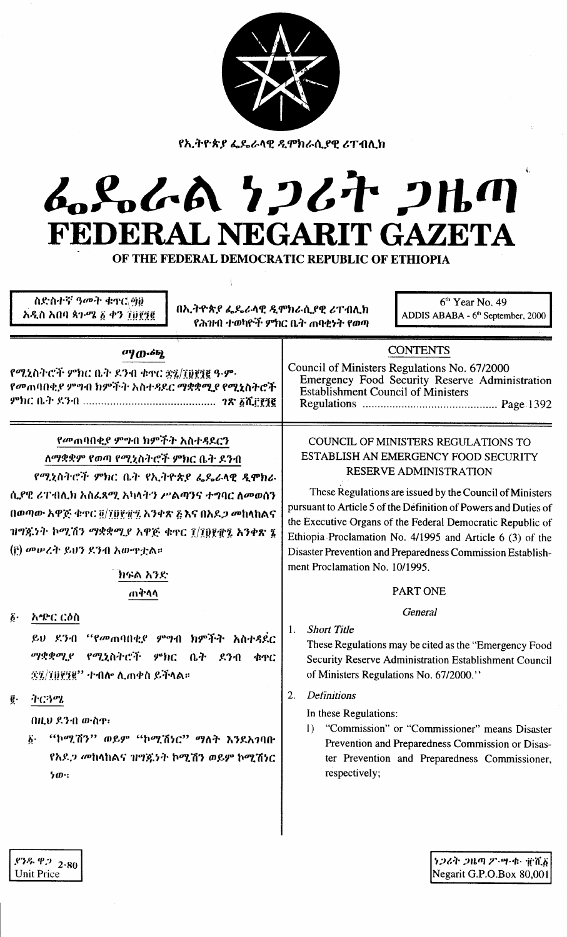| የኢትዮጵያ ፌዴራላዊ ዲሞክራሲያዊ ሪፐብሊክ<br>んとんへ ケンムナ ンルの<br>FEDERAL NEGARIT GAZETA<br>OF THE FEDERAL DEMOCRATIC REPUBLIC OF ETHIOPIA<br>ስድስተኛ ዓመት ቁኖር\ማወ<br>$6th$ Year No. 49<br>በኢትዮጵያ ፌዴራላዊ ዲሞክራሲያዊ ሪፐብሊክ<br>አዲስ አበባ ጳን-ሜ ፩ ቀን ፲፱፻፺፪<br>ADDIS ABABA - 6 <sup>th</sup> September, 2000<br>የሕዝብ ተወካዮች ምክር ቤት ጠባቂነት የወጣ                                                                                                                                                                                                                                                                                                                                                                                                                                                                                                                                                                                                                       |  |
|---------------------------------------------------------------------------------------------------------------------------------------------------------------------------------------------------------------------------------------------------------------------------------------------------------------------------------------------------------------------------------------------------------------------------------------------------------------------------------------------------------------------------------------------------------------------------------------------------------------------------------------------------------------------------------------------------------------------------------------------------------------------------------------------------------------------------------------------------------------------------------------------------------------------------------|--|
| <b>CONTENTS</b>                                                                                                                                                                                                                                                                                                                                                                                                                                                                                                                                                                                                                                                                                                                                                                                                                                                                                                                 |  |
| Council of Ministers Regulations No. 67/2000<br>Emergency Food Security Reserve Administration<br><b>Establishment Council of Ministers</b>                                                                                                                                                                                                                                                                                                                                                                                                                                                                                                                                                                                                                                                                                                                                                                                     |  |
| COUNCIL OF MINISTERS REGULATIONS TO<br>ESTABLISH AN EMERGENCY FOOD SECURITY<br>RESERVE ADMINISTRATION<br>These Regulations are issued by the Council of Ministers<br>pursuant to Article 5 of the Definition of Powers and Duties of<br>the Executive Organs of the Federal Democratic Republic of<br>Ethiopia Proclamation No. 4/1995 and Article 6 (3) of the<br>Disaster Prevention and Preparedness Commission Establish-<br>ment Proclamation No. 10/1995.<br><b>PART ONE</b><br>General<br><b>Short Title</b><br>1.<br>These Regulations may be cited as the "Emergency Food"<br>Security Reserve Administration Establishment Council<br>of Ministers Regulations No. 67/2000."<br>Definitions<br>2.<br>In these Regulations:<br>"Commission" or "Commissioner" means Disaster<br>$\left( \right)$<br>Prevention and Preparedness Commission or Disas-<br>ter Prevention and Preparedness Commissioner,<br>respectively; |  |
|                                                                                                                                                                                                                                                                                                                                                                                                                                                                                                                                                                                                                                                                                                                                                                                                                                                                                                                                 |  |

S267 2RM 2. 7.4. The Second Negarit G.P.O.Box 80,001

 $.93\%$  P. 2.80<br>Unit Price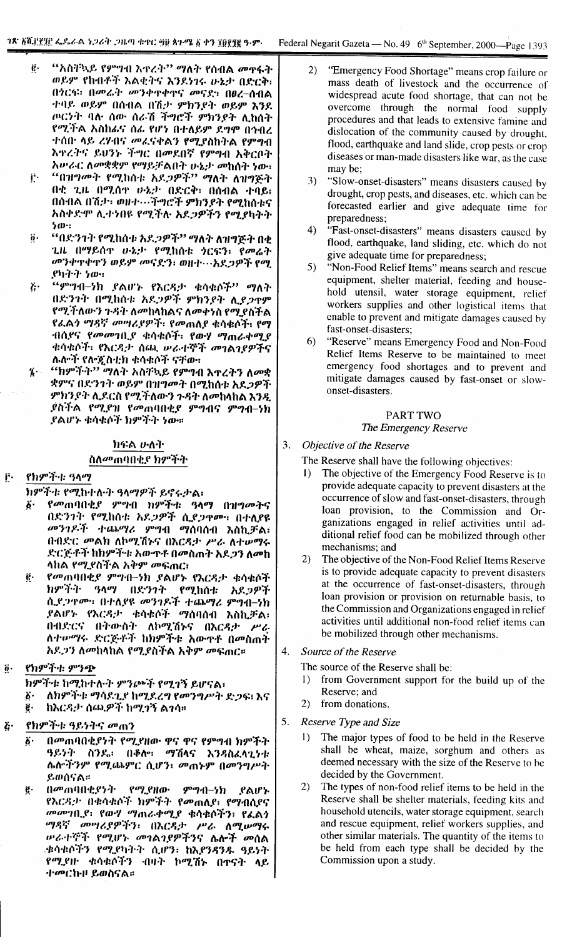- $\ddot{\mathbf{e}}$ . "አስቸኳይ የምዋብ እዋረት" **ማለት የ**ሰብል መዋፋት ወይም የከብቶች እልቂትና እንደነገሩ ሁኔታ በድርቅ፡ በጎርፍ፡ በመሬት መንቀዋቀዋና መናደ፡ በፀረ-ሰብል ተባይ ወይም በሰብል በሽታ ምክንደት ወይም እንደ ጦርነት ባሉ ሰው ሰራሽ ችግሮች ምክንያት ሊከሰት የሚችል አስከራና ሰራ የሆነ በተለይም ደግሞ በኅብረ ተሰበ ላይ ረሃብና መፈናቀልን የሚያስከትል የምፃብ እዋረትና ይህንኑ ችግር በመደበኛ የምግብ አቅርቦት አሥራር ለመቋቋም የማይቻልበት ሁኔታ መከሰት ነው።
- "በዝግመት የሚከሰቱ አደጋዎች" ማለት ለዝግጅት j. በቂ ጊዜ በሚሰዋ ውኔታ በድርቅ፣ በሰብል ተባይ፣ በሰብል በሽታ፣ መሆኑ…ችግሮች ምክንያት የሚከሰቱና አስቀድሞ ሊተነበዩ የሚችሉ አደጋዎችን የሚያካትት  $500$
- "በደንንት የሚከሰቱ አደ*ጋዎች" ማ*ለት ለዝግጅት በቂ  $\ddot{o}$ . ጊዜ በማይሰዋ ሁኔታ የሚከሰቱ *ነ*ርፍን፡ የመሬት መንቀጥቀጥን ወይም መናድን፣ ወዘተ…አደጋዎች የሚ ያካትት ነው።
- $``$ ምግብ-ነክ ያልሆኑ የእርዳታ ቁሳቁሶች $"$  ማለት  $\lambda$ . በድንገት በሚከሰቱ አደጋዎች ምክንያት ሊያጋዋም የሚችለውን ጉዳት ለመከላከልና ለመቀንስ የሚያስችል የፊልን ማዳኛ መሣሪያዎች፡ የመጠለያ ቁሳቁሶች፣ የማ ተበስደና የመመንቢያ ቁሳቁሶች፣ የውሃ ማጠራቀሚያ ቁሳቁሶች፣ የእርዳታ ሰጨ ሥራተኞች መገልገያዎችና ሌሎች የሎጂስቲክ ቁሳቁሶች ናቸው።
- ''ከምችት'' ማለት አስቸኳይ የምግብ እጥረትን ለመቋ  $\dddot{\mathbf{z}}$ . ቋምና በድንገት ወይም በዝግመት በሚከሰቱ አደ*ጋዎች* ምክንያት ሊደርስ የሚችለውን ጉዳት ለመከላከል እንዲ ያስችል የሚያዝ የመጠባበቂያ ምግብና ምግብ–ነክ ደልሆኑ ቁሳቁሶች ክምችት ነው።

# ክፍል ሁለት ስለመጠባበቂያ ክምችት

### የክምች። ዓላማ r.

ክምችቱ የሚከተሉት ዓላማዎች ይኖሩታል፡

- የመጠባበቂያ ምግብ ክምችቱ ዓላማ በዝግመትና ች-.<br>በድንገት የሚከሰቱ አዶ*ጋዎች* ሲ*ደጋ*ዋሙ፣ በተለያዩ መንገዶች ተጨማሪ ምግብ ማሰባሰብ እስኪቻል፤ በብድር መልክ ለኮሚሽኑና በእርዳታ ሥራ ለተሠማሩ ድርጅቶች ከክምችቱ አውዋቶ በመስጠት አደ*ጋን* ለመከ ላከል የሚያስችል አቅም መፍጠር፣
- ë. የመጠባበቂያ ምግብ-ነክ ያልሆኑ የእርዳታ ቁሳቁሶች ክምችት ዓላማ በድንገት የሚከሰቱ አደጋዎች ሲደጋዋሙ፡ በተለደዩ መንገዶች ተጨማሪ ምግብ-ነክ ያልሆኑ የእርዳታ ቁሳቁሶች ማሰባሰብ እስኪቻል፡ በብድርና በትውስት ለኮሚሽኑና በእርዳታ ሥራ ለተውማሩ ድርጅቶች ከክምችቱ አውዋቶ በመስጠት አደጋን ለመከላከል የሚያስችል አቅም መፍጠር።
- የክምችት ምንጭ  $\overline{\mathbf{0}}$ .

ክምችቱ ከሚከተሉት ምንጮች የሚገኝ ይሆናል፡

- ለክምችቱ ማሳደጊያ ከሚደረግ የመንግሥት ድጋፍ፤ እና  $\vec{b}$  . ë. ከእርዳታ ሰጪዎች ከሚገኝ ልገሳ።
- የክምችቱ ዓይነትና መጠን  $\ddot{c}$ 
	- በመጠባበቂያነት የሚያዘው ዋና ዋና የምግብ ክምችት  $\ddot{\boldsymbol{b}}$ . ዓይንት ስንዴ፡ በቆሎ፡ ማሽላና እንዳስፈላጊነቱ ሴሎችንም የሚጨምር ሲሆን፣ መጠኑም በመንግሥት ይወሰናል።
	- በመጠባበቂያንት የ*ሚያ*ዘው ምግብ–ንክ ę. ያልሆኑ የእርዳታ በቁሳቁሶች ክምችት የመጠለያ፤ የማብሰያና መመገቢያ፡ የውሃ ማጠራቀሚያ ቁሳቁሶችን፣ የፌልን ማዳኛ መሣሪያዎችን፡ በእርዳታ ሥራ ለሚሥማሩ ሥራተኞች የሚሆኑ መገልገያዎችንና ሴሎች መሰል ቋሳቁሶችን የሚያካትት ሲሆን፣ ከእያንዳንዱ ዓይነት የሚደዙ ቁሳቁሶችን ብዛት ኮሚሽኑ በተናት ላይ ተመርኩዞ ይወስናል።
- "Emergency Food Shortage" means crop failure or  $2)$ mass death of livestock and the occurrence of widespread acute food shortage, that can not be overcome through the normal food supply procedures and that leads to extensive famine and dislocation of the community caused by drought, flood, earthquake and land slide, crop pests or crop diseases or man-made disasters like war, as the case may be:
- 3) "Slow-onset-disasters" means disasters caused by drought, crop pests, and diseases, etc. which can be forecasted earlier and give adequate time for preparedness:
- "Fast-onset-disasters" means disasters caused by  $4)$ flood, earthquake, land sliding, etc. which do not give adequate time for preparedness;
- $5)$ "Non-Food Relief Items" means search and rescue equipment, shelter material, feeding and household utensil, water storage equipment, relief workers supplies and other logistical items that enable to prevent and mitigate damages caused by fast-onset-disasters:
- "Reserve" means Emergency Food and Non-Food  $6)$ Relief Items Reserve to be maintained to meet emergency food shortages and to prevent and mitigate damages caused by fast-onset or slowonset-disasters.

# PART TWO

# The Emergency Reserve

## $3.$ Objective of the Reserve

- The Reserve shall have the following objectives:
- The objective of the Emergency Food Reserve is to  $\mathbf{D}$ provide adequate capacity to prevent disasters at the occurrence of slow and fast-onset-disasters, through loan provision, to the Commission and Organizations engaged in relief activities until additional relief food can be mobilized through other mechanisms; and
- 2) The objective of the Non-Food Relief Items Reserve is to provide adequate capacity to prevent disasters at the occurrence of fast-onset-disasters, through loan provision or provision on returnable basis, to the Commission and Organizations engaged in relief activities until additional non-food relief items can be mobilized through other mechanisms.

# $4.$ Source of the Reserve

The source of the Reserve shall be:

- from Government support for the build up of the  $\mathbf{D}$ Reserve: and
- 2) from donations.
- $5<sub>1</sub>$ Reserve Type and Size
	- $1)$ The major types of food to be held in the Reserve shall be wheat, maize, sorghum and others as deemed necessary with the size of the Reserve to be decided by the Government.
	- $(2)$ The types of non-food relief items to be held in the Reserve shall be shelter materials, feeding kits and household utencils, water storage equipment, search and rescue equipment, relief workers supplies, and other similar materials. The quantity of the items to be held from each type shall be decided by the Commission upon a study.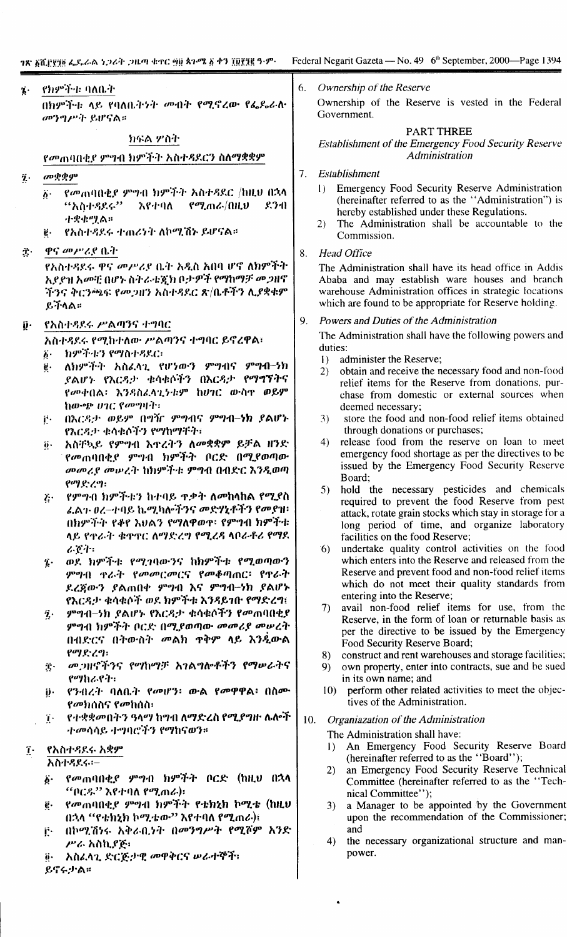# የክምችቱ ባለቤት  $\ddot{\mathbf{z}}$  .

በክምችት ላይ የባለቤትንት መብት የሚኖረው የፌዴራሉ መንግሥት ይሆናል።

# ክፍል ሦስት

የመጠባበቂደ ምግብ ክምችት አስተዳደርን ስለማቋቋም

- መቋቋም  $\ddot{\mathbf{z}}$ .
	- የመጠባበቂደ ምዋብ ክምችት አስተዳደር /ከዚህ በኋላ  $\ddot{b}$ . "አስተዳደሩ"  $992$  mas/01LV  $8.3 - 0$  $\lambda$  e-t-q $\lambda$ 小央虫型食具
	- የአስተዳደሩ ተጠሪነት ለኮሚሽኑ ይሆናል።  $\ddot{e}$ .
- ዋና መሥሪያ ቤት  $\hat{\mathbf{T}}$ .

የአስተዳደሩ ዋና መሥሪያ ቤት አዲስ አበባ ሆኖ ለክምችት አያያዝ አመቺ በሆኑ ስትራቴጇክ ቦታዎች የማከማቻ መጋዘኖ ችንና ቅርንጫፍ የመጋዘን አስተዳደር ጽ/ቤቶችን ሊያቋቁም ይችላል።

ñ. የአስተዳደሩ ሥልጣንና ተግባር

አስተዳደሩ የሚከተለው ሥልጣንና ተግባር ይኖረዋል፣

- ክምችቱን የማስተዳደር፡ ö٠
- ለክምችት አስፈላጊ የሆነውን ምግብና ምግብ-ነክ  $\ddot{\mathbf{g}}$  . ያልሆኑ የእርዳታ ቁሳቁሶችን በእርዳታ የማግኘትና የመቀበል፡ እንዳስፈላጊንቱም ከሀገር ውስዋ ወይም ከውጭ ሀገር የመማዛት፡፡
- በእርዳታ ወይም በግዥ ምግብና ምግብ-ነክ ያልሆኑ  $\mathbf{i}^{\star}$ የእርዳታ ቁሳቁሶችን የማከማቸት፣
- አስቸኳይ የምግብ እዋረትን ለመቋቋም ይቻል ዘንድ  $\ddot{\mathbf{0}}$ . የመጠባበቂያ ምግብ ክምችት ቦርድ በሚያወጣው መመሪያ መሠረት ከክምችቱ ምግብ በብድር እንዲወጣ  $\mathbf{y} = \mathbf{y} - \mathbf{y}$
- የምግብ ክምችቱን ከተባይ ጥቃት ለመከላከል የሚደስ  $\ddot{b}$ . ፊልን ፀረ–ተባይ ኬሚካሎችንና መድሃኒቶችን የመያዝ፡ በክምችት የቆየ አህልን የማለዋወዋ፡ የምግብ ክምችቱ ላይ የዋራት ቁዋዋር ለማድረግ የሚረዳ ላቦራቶሪ የማዶ  $4.64$
- ወደ ክምችቱ የሚገባውንና ከክምችቱ የሚወጣውን  $\dddot{\mathbf{z}}$ . ምግብ ዋራት የመመርመርና የመቆጣጠር፡ የዋራት ደረጀውን ያልጠበቀ ምግብ እና ምግብ-ነክ ያልሆኑ የእርዳታ ቁሳቁሶች ወደ ክምችቱ እንዳይገቡ የማድረግ፤
- ምግብ–ነክ ያልሆኑ የእርዳታ ቁሳቁሶችን የመጠባበቂያ ĵ. ምግብ ክምችት ቦርድ በሚያወጣው መመሪያ መሠረት በብድርና በትውስት መልክ ዋቅም ላይ እንዲውል የማድረግ፡
- *መጋዝኖችንና የማከማቻ አገልግ*ሎቶችን የማሥራትና  $\mathbf T$  . የማከራየት፡
- ÿ. የንብረት ባለቤት የመሆን፡ ውል የመዋዋል፡ በስሙ *የመክ*ሰስና የመከሰስ፡
- የተቋቋመበትን ዓላማ ከግብ ለማድረስ የሚያግዙ ሌሎች  $\mathbf{T}$ . ተመሳሳይ ተግባሮችን የማከናወን።

# የአስተዳደሩ አቋም  $\tilde{\mathbf{I}}$ .

አስተዳደሩ፡-

- የመጠባበቂያ ምግብ ክምችት ቦርድ (ከዚህ በኋላ  $\ddot{\bm{b}}$ . "ቦርዱ" እየተባለ የሚጠራ)፡
- የመጠባበቂያ ምዋብ ክምችት የቴክኒክ ኮሚቴ (ከዚህ ę. በኋላ "የቴክኒክ ኮሚቴው" እየተባለ የሚጠራ)፤
- በኮሚሽነሩ አቅራቢነት በመንግሥት የሚሾም አንድ Ë. ሥራ አስኪያጅ፡
- አስፈላጊ ድርጅታዊ መዋቅርና ሠራተኞች፣  $\ddot{\mathbf{0}}$ . ይኖሩታል።

6 Ownership of the Reserve

Ownership of the Reserve is vested in the Federal Government.

# PART THREE **Establishment of the Emergency Food Security Reserve Administration**

### Establishment  $7<sup>1</sup>$

- 1) Emergency Food Security Reserve Administration (hereinafter referred to as the "Administration") is hereby established under these Regulations.
- The Administration shall be accountable to the  $2)$ Commission.

#### **Head Office**  $\mathbf{R}$

The Administration shall have its head office in Addis Ababa and may establish ware houses and branch warehouse Administration offices in strategic locations which are found to be appropriate for Reserve holding.

#### 9. Powers and Duties of the Administration

The Administration shall have the following powers and duties:

- administer the Reserve;  $\mathbf{D}$
- obtain and receive the necessary food and non-food  $2)$ relief items for the Reserve from donations, purchase from domestic or external sources when deemed necessary;
- store the food and non-food relief items obtained  $3)$ through donations or purchases;
- 4) release food from the reserve on loan to meet emergency food shortage as per the directives to be issued by the Emergency Food Security Reserve Board;
- $5)$ hold the necessary pesticides and chemicals required to prevent the food Reserve from pest attack, rotate grain stocks which stay in storage for a long period of time, and organize laboratory facilities on the food Reserve;
- undertake quality control activities on the food  $6)$ which enters into the Reserve and released from the Reserve and prevent food and non-food relief items which do not meet their quality standards from entering into the Reserve;
- 7) avail non-food relief items for use, from the Reserve, in the form of loan or returnable basis as per the directive to be issued by the Emergency Food Security Reserve Board;
- construct and rent warehouses and storage facilities; 8)
- own property, enter into contracts, sue and be sued  $9)$ in its own name; and
- perform other related activities to meet the objec- $10<sub>1</sub>$ tives of the Administration.
- 10. Organiazation of the Administration

The Administration shall have:

- An Emergency Food Security Reserve Board  $\mathbf{D}$ (hereinafter referred to as the "Board");
- an Emergency Food Security Reserve Technical  $2)$ Committee (hereinafter referred to as the "Technical Committee");<br>a Manager to be appointed by the Government
- $3)$ upon the recommendation of the Commissioner; and
- the necessary organizational structure and man-4) power.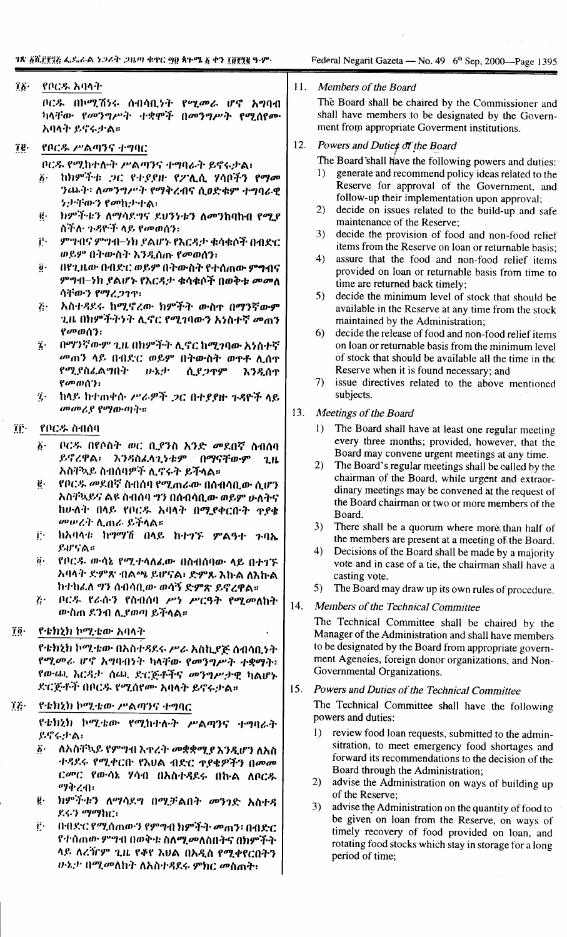# $76 -$ የቦርዱ አባላት

ቦርዱ በኮሚሽነሩ ሰብሳቢነት የሚመራ ሆኖ አግባብ ካላቸው የመንግሥት ተቋሞች በመንግሥት የሚሰየሙ አባላት ይኖሩታል።

 $\tilde{\mathbf{f}}$ . የቦርዱ ሥልጣንና ተግባር

ቦርዱ የሚከተሉት ሥልጣንና ተግባራት ይኖሩታል፤

- ከክምችቱ ጋር የተያያዙ የፖሊሲ ሃሳቦችን የማመ  $b -$ ንጨት፡ ለመንግሥት የማቅረብና ሲፀድቁም ተግባራዊ ንታቸውን የመኪታተል፡
- ክምችቱን ለማሳደግና ደህንነቱን ለመንከባከብ የሚደ  $\ddot{e}$ ስችሉ ጉዳዮች ላይ የመወሰን፣
- ji. ምግብና ምግብ–ነክ ያልሆኑ የእርዳታ ቁሳቁሶች በብድር ወይም በትውስት እንዲሰጡ የመወሰን፤
- በየጊዜው በብድር ወይም በትውስት የተሰጠው ምግብና  $\ddot{\theta}$ ምግብ-ነክ ያልሆኑ የእርዳታ ቁሳቁሶች በወቅቱ መመለ ሳቸውን የማረጋገጥ፡
- $\ddot{c}$ . አስተዳደሩ ከሚኖረው ክምችት ውስዋ በማንኛውም ጊዜ በክምችትንት ሊኖር የሚገባውን አነስተኛ መጠን የመወሰን:
- በማንኛውም ጊዜ በክምችት ሊኖር ከሚገባው አነስተኛ ÿ. መጠን ላይ በብድር ወይም በትውስት ወዋቶ ሊሰዋ የሚያስፌልግበት ひふか ሲያጋዋም እንዲሰጥ የመወሰን:
- ከላይ ከተጠቀሱ ሥራዎች ጋር በተደየዙ ጉዳዮች ላይ  $\ddot{\mathbf{z}}$  . መመሪያ የማውጣት።

### ïβ· የቦርዱ ስብሰባ

- ቦርዱ በየሶስት ወር ቢያንስ አንድ መደበኛ ስብሰባ  $\ddot{\bm{\delta}}$  . ይኖረዋል፡ እንዳስፌላጊነቱም በማናቸውም  $2.H$ አስቸኳይ ስብሰባዎች ሊኖሩት ይችላል።
- የቦርዱ መደበኛ ስብሰባ የሚጠራው በሰብሳቢው ሲሆን ġ. አስቸኳይና ልዩ ስብሰባ ግን በሰብሳቢው ወይም ሁለትና ከሁለት በላይ የቦርዱ አባላት በሚያቀርቡት ዋያቄ መሥረት ሊጠራ ይችላል።
- ክአባላቱ ከማማሽ በላይ ከተገኙ ምልዓተ ጉባኤ j٠. ይሆናል።
- የቦርዱ ውሳኔ የሚተላለፈው በስብሰባው ላይ በተገኙ  $\ddot{\mathbf{0}}$ . አባላት ድምጽ ብልጫ ይሆናል፣ ድምጹ እኩል ለእኩል ከተከሬለ ግን ሰብሳቢው ወሳኝ ድምጽ ይኖረዋል።
- $\ddot{a}$ . ቦርዱ የራሱን የስብሰባ ሥነ ሥርዓት የሚመለከት ውስጠ ደንብ ሊደወጣ ይችላል።

### $\overline{10}$ . የቴክኒክ ኮሚቴው አባላት

የቴክኒክ ኮሚቴው በእስተዳደሩ ሥራ አስኪያጅ ሰብሳቢነት የሚመራ ሆኖ አግባብነት ካላቸው የመንግሥት ተቋማት፡ የውጨ እርዳታ ሰጪ ድርጅቶችና መንግሥታዊ ካልሆኑ ድርጅቶች በቦርዱ የሚሰየሙ አባላት ይኖሩታል።

#### Të. የቴክሂክ ኮሚቴው ሥልጣንና ተግባር

የቴክኒክ ኮሚቴው የሚከተሉት ሥልጣንና ተግባራት ይኖሩታል:

- ለአስቸኳይ የምግብ እጥረት መቋቋሚያ እንዲሆን ለአስ  $\ddot{b}$ . ተዳደሩ የሚቀርቡ የእህል ብድር ዋያቄዎችን በመመ ር*መ*ር የውሳኔ ሃሳብ በአስተዳደሩ በኩል ለቦር*ጹ* ማቅረብ፡
- $\ddot{\mathbf{g}}\cdot$ ክምችቱን ለማሳደግ በሚቻልበት መንገድ አስተዳ ደሩን ማማከር፡
- በብድር የሚሰጠውን የምግብ ክምችት መጠን፡ በብድር i٠. የተሰጠው ምግብ በወቅቱ ስለሚ*መ*ለስበትና በክምችት ላይ ለረሻርም ጊዜ የቆየ እህል በአዲስ የሚቀየርበትን *ሁኔታ በሚመ*ለከት ለአስተዳደሩ ምክር መስጠት፡

#### $11.$ Members of the Board

The Board shall be chaired by the Commissioner and shall have members to be designated by the Government from appropriate Goverment institutions.

### $12.$ Powers and Duties of the Board

The Board shall have the following powers and duties:

- generate and recommend policy ideas related to the  $\mathbf{D}$ Reserve for approval of the Government, and follow-up their implementation upon approval;
- decide on issues related to the build-up and safe  $2)$ maintenance of the Reserve:
- $3)$ decide the provision of food and non-food relief items from the Reserve on loan or returnable basis:
- $4)$ assure that the food and non-food relief items provided on loan or returnable basis from time to time are returned back timely;
- decide the minimum level of stock that should be  $5)$ available in the Reserve at any time from the stock maintained by the Administration;
- decide the release of food and non-food relief items 6) on loan or returnable basis from the minimum level of stock that should be available all the time in the Reserve when it is found necessary; and
- 7) issue directives related to the above mentioned subjects.

### 13. Meetings of the Board

- The Board shall have at least one regular meeting  $\mathbf{D}$ every three months; provided, however, that the Board may convene urgent meetings at any time.
- $2)$ The Board's regular meetings shall be called by the chairman of the Board, while urgent and extraordinary meetings may be convened at the request of the Board chairman or two or more members of the Board.
- $3)$ There shall be a quorum where more than half of the members are present at a meeting of the Board.
- $4)$ Decisions of the Board shall be made by a majority vote and in case of a tie, the chairman shall have a casting vote.
- The Board may draw up its own rules of procedure.  $5)$

# $14.$ Members of the Technical Committee

The Technical Committee shall be chaired by the Manager of the Administration and shall have members to be designated by the Board from appropriate government Agencies, foreign donor organizations, and Non-Governmental Organizations.

## $15.$ Powers and Duties of the Technical Committee

The Technical Committee shall have the following powers and duties:

- review food loan requests, submitted to the admin- $\mathbf{I}$ sitration, to meet emergency food shortages and forward its recommendations to the decision of the Board through the Administration;
- advise the Administration on ways of building up  $(2)$ of the Reserve;
- advise the Administration on the quantity of food to  $3)$ be given on loan from the Reserve, on ways of timely recovery of food provided on loan, and rotating food stocks which stay in storage for a long period of time;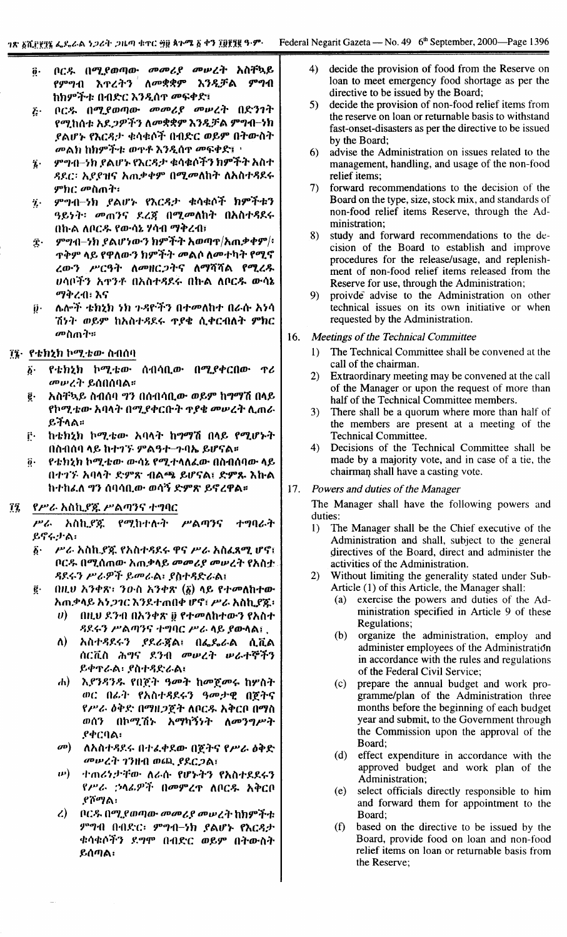- በርዱ በሚያወጣው መመሪያ መሠረት አስቸኳይ  $\ddot{\mathbf{0}}$  . የምግብ እ**ተረትን ለ**መቋቋም እንዲቻል ምግብ ከክምችቱ በብድር እንዲሰዋ መፍቀድ፤
- ቦርዱ በሚያወጣው መመሪያ መሠረት በድንገት  $\ddot{b}$ የሚከሰቱ አደ*ጋዎችን ለመ*ቋቋም እንዲቻል ምግብ–ነክ ያልሆኑ የእርዳታ ቁሳቁሶች በብድር ወይም በትውስት መልክ ከክምችቱ ወዋቶ እንዲሰዋ መፍቀድ፤ ፡
- ምግብ–ንክ ያልሆኑ የእርዳታ ቁሳቁሶችን ክምችት አስተ  $\ddot{\mathbf{z}}$  . ዳደር፡ አደደዝና አሐቃቀም በሚመለከት ለአስተዳደሩ ምክር መስጠት፡
- ምግብ-ነክ ያልሆኑ የእርዳታ ቁሳቁሶች ክምችቱን  $\ddot{\mathbf{z}}$  . ዓይነት፡ መጠንና ደረጃ በሚመለከት በአስተዳደሩ በከ·ል ለቦርዱ የውሳኔ ሃሳብ ማቅረብ፣
- ምግብ–ነክ ያልሆነውን ክምችት አወጣዋ/አጠቃቀም/፡  $\hat{\mathbf{T}}$ . **ጥቅም ላይ የዋለውን ክምችት መልሶ ለመተካት የሚኖ** ረውን ሥርዓት ለመዘርጋትና ለማሻሻል የሚረዱ ሀሳቦችን አ**ዋንቶ በአስተ**ዳደሩ በኩል ለቦር*ዱ* ውሳኔ ማቅረብ፡ እና
- ሌሎች ቴክኒክ ነክ ጉዳዮችን በተመለከተ በራሱ አነሳ íj٠ ሽነት ወይም ከአስተዳደሩ ዋያቄ ሲቀርብለት ምክር መስጠት።

# ፲፯· የቴክኒክ ኮሚቴው ስብሰባ

- የቴክኔክ ኮሚቴው ሰብሳቢው በሚያቀርበው ዋሪ  $\ddot{b}$ . *መሠረት ይ*ሰበሰባል።
- አስቸኳይ ስብሰባ ግን በሰብሳቢው ወይም ከግማሽ በላይ ĝ. የኮሚቴው አባላት በሚያቀርቡት ዋያቄ መሠረት ሊጠራ ይችላል።
- ከቴክኒክ ኮሚቴው አባላት ከማማሽ በላይ የሚሆኑት ŕ٠ በስብሰባ ላይ ከተገኙ ምልዓተ-ጉባኤ ይሆናል።
- የቴክኒክ ኮሚቴው ውሳኔ የሚተላለፌው በስብሰባው ላይ  $\ddot{\boldsymbol{\theta}}$ . በተገኙ አባላት ድምጽ ብልጫ ይሆናል፤ ድምጹ እኩል ከተከፈለ ግን ሰባሳቢው ወሳኝ ድምጽ ይኖረዋል።

#### የሥራ አስኪያጁ ሥልጣንና ተግባር ĩį

ሥራ አስኪያጅ ተግባራት የ*ሚ*ከተሉት ሥልጣንና ይኖሩታል፡

- ሥራ አስኪያጇ የአስተዳደሩ ዋና ሥራ አስፈጻሚ ሆኖ፤  $\vec{b}$ . ቦርዱ በሚሰጠው አጠቃላይ መመሪያ መሠረት የአስቷ ዳደሩን ሥራዎች ይመራል፡ ያስተዳድራል፤
- በዚህ አንቀጽ፡ ንውስ አንቀጽ  $(\tilde{g})$  ላይ የተመለከተው  $\ddot{\mathbf{e}}$ . አጠቃላይ እነጋገር እንደተጠበቀ ሆኖ፣ ሥራ አስኪያጁ፡
	- በዚህ ደንብ በአንቀጽ ፱ የተመለከተውን የአስተ  $\boldsymbol{v}$ ዳደሩን ሥልጣንና ተግባር ሥራ ላይ ያውላል፤..
	- አስተዳደሩን ደደራጃል፤ በፌዴራል ሲቪል  $\Lambda$ ሰርቪስ ሕግና ደንብ መሠረት ሠራተኞችን ይቀዋራል፡ ያስተዳድራል፡
	- ሐ) እያንዳንዱ የበጀት ዓመት ከመጀመሩ ከሦስት ወር በፊት የአስተዳደሩን ዓመታዊ በጀትና የሥራ ዕቅድ በማዘጋጀት ለቦርዱ አቅርቦ በማስ ወሰን በኮሚሽኑ አማካኝነት ለመንግሥት *የቀርባል፡*
	- $\omega$ ለአስተዳደሩ በተፈቀደው በጀትና የሥራ ዕቅድ መሠረት ገንዘብ ወጪ ያደርጋል፤
	- $\bm{\nu})$ ተጠሪነታቸው ለራሱ የሆኑትን የአስተደደሩን የሥራ ኃላፊዎች በመምረዋ ለቦርዱ አቅርቦ .የሾማል፡
	- ቦርዱ በሚያወጣው መመሪያ መሠረት ከክምችቱ  $\mathcal{L}$ ምግብ በብድር፡ ምግብ-ነክ ያልሆኑ የእርዳታ ቁሳቁሶችን ደግሞ በብድር ወይም በትውስት ይሰጣል፣
- decide the provision of food from the Reserve on  $4)$ loan to meet emergency food shortage as per the directive to be issued by the Board;
- decide the provision of non-food relief items from  $5)$ the reserve on loan or returnable basis to withstand fast-onset-disasters as per the directive to be issued by the Board:
- advise the Administration on issues related to the  $6)$ management, handling, and usage of the non-food relief items:
- forward recommendations to the decision of the  $7)$ Board on the type, size, stock mix, and standards of non-food relief items Reserve, through the Administration;
- study and forward recommendations to the de-8) cision of the Board to establish and improve procedures for the release/usage, and replenishment of non-food relief items released from the Reserve for use, through the Administration;
- $9)$ proivde advise to the Administration on other technical issues on its own initiative or when requested by the Administration.

#### 16. Meetings of the Technical Committee

- The Technical Committee shall be convened at the  $\mathbf{D}$ call of the chairman.
- Extraordinary meeting may be convened at the call  $2)$ of the Manager or upon the request of more than half of the Technical Committee members.
- $3)$ There shall be a quorum where more than half of the members are present at a meeting of the **Technical Committee.**
- $4)$ Decisions of the Technical Committee shall be made by a majority vote, and in case of a tie, the chairman shall have a casting vote.

#### 17. Powers and duties of the Manager

The Manager shall have the following powers and duties:

- The Manager shall be the Chief executive of the  $1)$ Administration and shall, subject to the general directives of the Board, direct and administer the activities of the Administration.
- $(2)$ Without limiting the generality stated under Sub-Article (1) of this Article, the Manager shall:
	- exercise the powers and duties of the Ad- $(a)$ ministration specified in Article 9 of these Regulations;
	- organize the administration, employ and  $(b)$ administer employees of the Administration in accordance with the rules and regulations of the Federal Civil Service;
	- $(c)$ prepare the annual budget and work programme/plan of the Administration three months before the beginning of each budget year and submit, to the Government through the Commission upon the approval of the Board;
	- (d) effect expenditure in accordance with the approved budget and work plan of the Administration:
	- select officials directly responsible to him  $(e)$ and forward them for appointment to the Board;
	- $(f)$ based on the directive to be issued by the Board, provide food on loan and non-food relief items on loan or returnable basis from the Reserve;